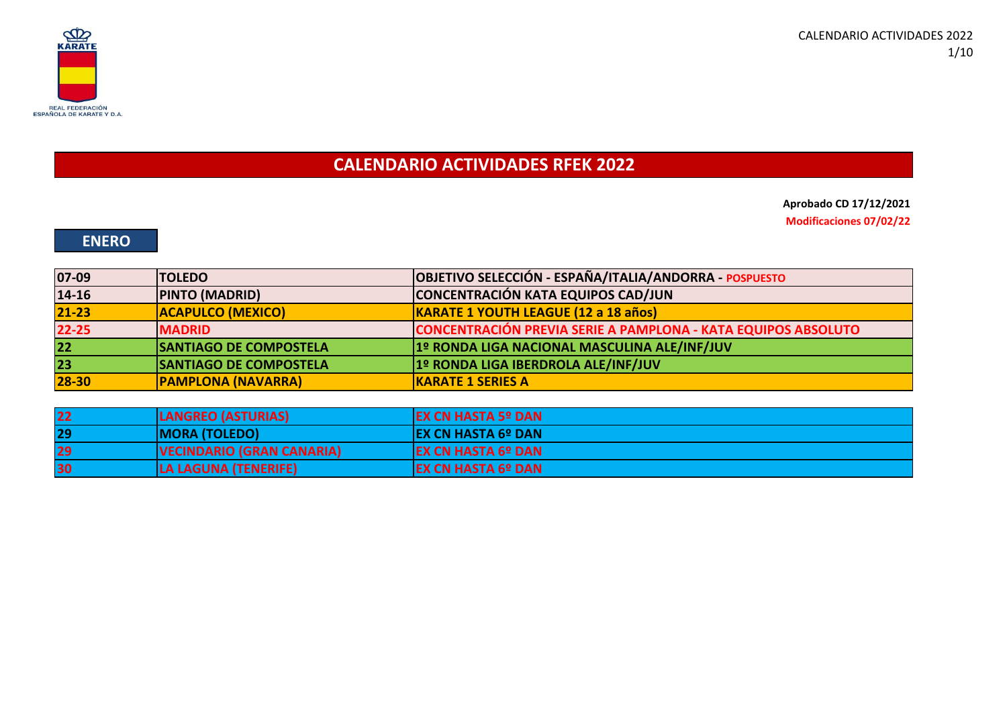

**CALENDARIO ACTIVIDADES RFEK 2022**

**Aprobado CD 17/12/2021 Modificaciones 07/02/22**

### **ENERO**

| 07-09     | <b>TOLEDO</b>                 | OBJETIVO SELECCIÓN - ESPAÑA/ITALIA/ANDORRA - POSPUESTO        |
|-----------|-------------------------------|---------------------------------------------------------------|
| 14-16     | <b>PINTO (MADRID)</b>         | CONCENTRACIÓN KATA EQUIPOS CAD/JUN                            |
| $21 - 23$ | <b>ACAPULCO (MEXICO)</b>      | KARATE 1 YOUTH LEAGUE (12 a 18 años)                          |
| $22 - 25$ | <b>MADRID</b>                 | CONCENTRACIÓN PREVIA SERIE A PAMPLONA - KATA EQUIPOS ABSOLUTO |
| 22        | <b>SANTIAGO DE COMPOSTELA</b> | 1º RONDA LIGA NACIONAL MASCULINA ALE/INF/JUV                  |
| 23        | <b>SANTIAGO DE COMPOSTELA</b> | 1º RONDA LIGA IBERDROLA ALE/INF/JUV                           |
| 28-30     | <b>PAMPLONA (NAVARRA)</b>     | <b>KARATE 1 SERIES A</b>                                      |
|           |                               |                                                               |

| 22 | <b>LANGREO (ASTURIAS)</b>        | <b>IEX CN HASTA 5º DAN</b> |
|----|----------------------------------|----------------------------|
| 29 | <b>MORA (TOLEDO)</b>             | <b>IEX CN HASTA 6º DAN</b> |
| 29 | <b>VECINDARIO (GRAN CANARIA)</b> | <b>EX CN HASTA 6º DAN</b>  |
| 30 | LA LAGUNA (TENERIFE)             | <b>EX CN HASTA 6º DAN</b>  |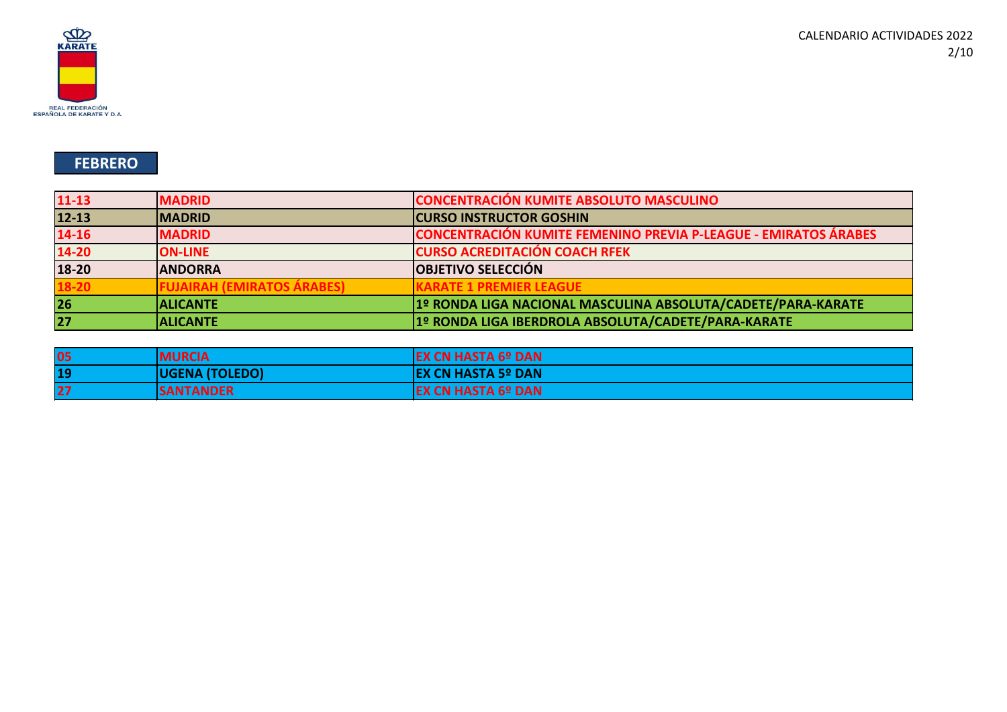

## **FEBRERO**

| $11 - 13$ | <b>MADRID</b>              | <b>CONCENTRACIÓN KUMITE ABSOLUTO MASCULINO</b>                         |
|-----------|----------------------------|------------------------------------------------------------------------|
| $12 - 13$ | <b>IMADRID</b>             | <b>CURSO INSTRUCTOR GOSHIN</b>                                         |
| 14-16     | <b>MADRID</b>              | <b>CONCENTRACIÓN KUMITE FEMENINO PREVIA P-LEAGUE - EMIRATOS ÁRABES</b> |
| $14 - 20$ | <b>ON-LINE</b>             | <b>CURSO ACREDITACIÓN COACH RFEK</b>                                   |
| 18-20     | <b>ANDORRA</b>             | <b>OBJETIVO SELECCIÓN</b>                                              |
| 18-20     | FUJAIRAH (EMIRATOS ÁRABES) | <b>KARATE 1 PREMIER LEAGUE</b>                                         |
| 26        | <b>ALICANTE</b>            | 1º RONDA LIGA NACIONAL MASCULINA ABSOLUTA/CADETE/PARA-KARATE           |
| 27        | <b>ALICANTE</b>            | 1º RONDA LIGA IBERDROLA ABSOLUTA/CADETE/PARA-KARATE                    |

| 05 | <b>MURCIA</b>         | <b>EX CN HASTA 6º DAN</b>  |
|----|-----------------------|----------------------------|
| 19 | <b>UGENA (TOLEDO)</b> | <b>IEX CN HASTA 5º DAN</b> |
| 27 | <b>SANTANDER</b>      | <b>EX CN HASTA 6º DAN</b>  |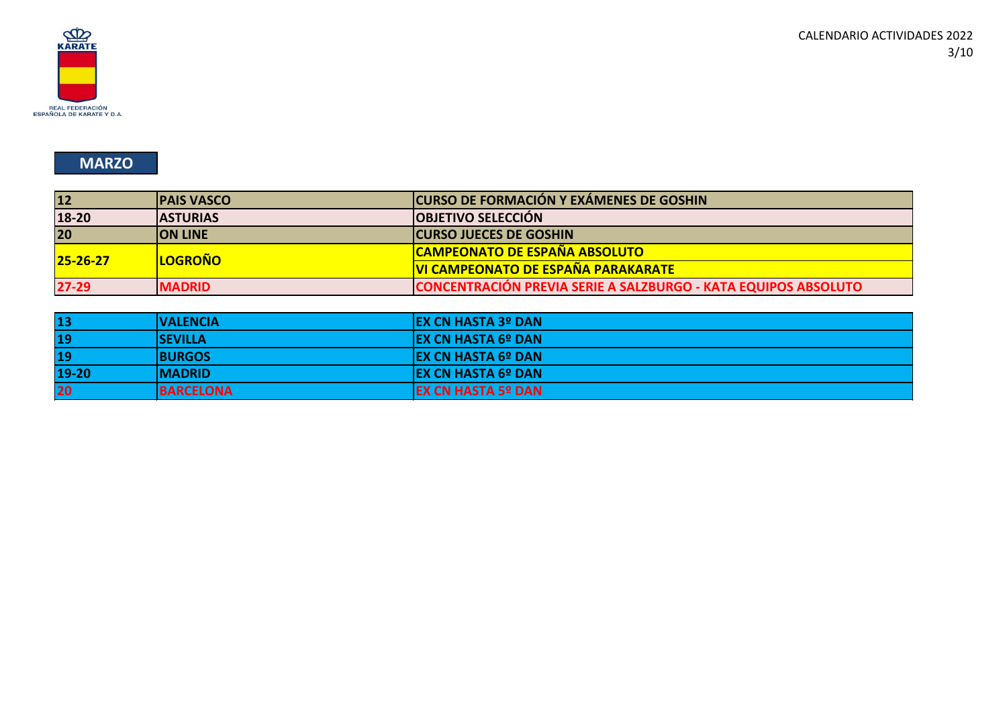

### **MARZO**

| 12             | <b>PAIS VASCO</b> | <b>CURSO DE FORMACIÓN Y EXÁMENES DE GOSHIN</b>                 |
|----------------|-------------------|----------------------------------------------------------------|
| $18 - 20$      | <b>IASTURIAS</b>  | <b>OBJETIVO SELECCIÓN</b>                                      |
| 20             | <b>ION LINE</b>   | <b>CURSO JUECES DE GOSHIN</b>                                  |
| $25 - 26 - 27$ | <b>LOGROÑO</b>    | <b>CAMPEONATO DE ESPAÑA ABSOLUTO</b>                           |
|                |                   | <b>VI CAMPEONATO DE ESPAÑA PARAKARATE</b>                      |
| $27 - 29$      | <b>IMADRID</b>    | CONCENTRACIÓN PREVIA SERIE A SALZBURGO - KATA EQUIPOS ABSOLUTO |

| 13    | <b> VALENCIA</b> | <b>IEX CN HASTA 3º DAN</b> |
|-------|------------------|----------------------------|
| 19    | <b>ISEVILLA</b>  | <b>IEX CN HASTA 6º DAN</b> |
| 19    | <b>BURGOS</b>    | <b>IEX CN HASTA 6º DAN</b> |
| 19-20 | <b>IMADRID</b>   | <b>IEX CN HASTA 6º DAN</b> |
| 20    | <b>BARCELONA</b> | <b>EX CN HASTA 5º DAN</b>  |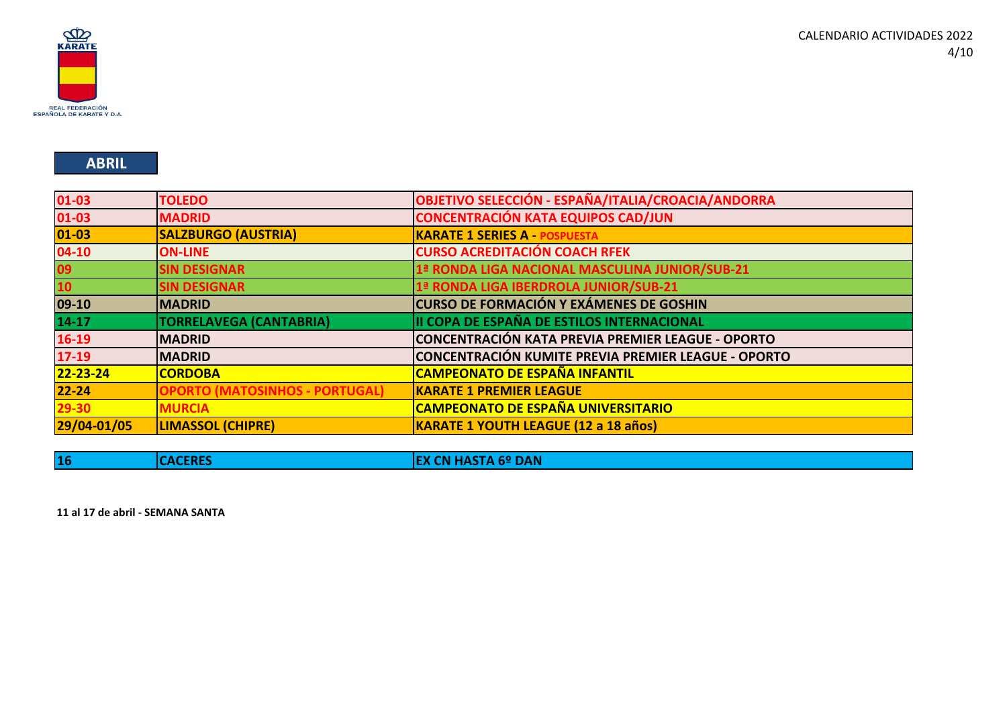

### **ABRIL**

| $01 - 03$   | <b>TOLEDO</b>                         | <b>OBJETIVO SELECCIÓN - ESPAÑA/ITALIA/CROACIA/ANDORRA</b> |
|-------------|---------------------------------------|-----------------------------------------------------------|
| 01-03       | <b>MADRID</b>                         | <b>CONCENTRACIÓN KATA EQUIPOS CAD/JUN</b>                 |
| $ 01 - 03 $ | <b>SALZBURGO (AUSTRIA)</b>            | <b>KARATE 1 SERIES A - POSPUESTA</b>                      |
| $04-10$     | <b>ON-LINE</b>                        | <b>CURSO ACREDITACIÓN COACH RFEK</b>                      |
| 09          | <b>SIN DESIGNAR</b>                   | 1ª RONDA LIGA NACIONAL MASCULINA JUNIOR/SUB-21            |
| 10          | <b>SIN DESIGNAR</b>                   | 1ª RONDA LIGA IBERDROLA JUNIOR/SUB-21                     |
| $ 09-10 $   | <b>MADRID</b>                         | CURSO DE FORMACIÓN Y EXÁMENES DE GOSHIN                   |
| $14 - 17$   | <b>TORRELAVEGA (CANTABRIA)</b>        | II COPA DE ESPAÑA DE ESTILOS INTERNACIONAL                |
| $16-19$     | <b>MADRID</b>                         | CONCENTRACIÓN KATA PREVIA PREMIER LEAGUE - OPORTO         |
| $17 - 19$   | <b>MADRID</b>                         | CONCENTRACIÓN KUMITE PREVIA PREMIER LEAGUE - OPORTO       |
| 22-23-24    | <b>CORDOBA</b>                        | <b>CAMPEONATO DE ESPAÑA INFANTIL</b>                      |
| $22 - 24$   | <b>OPORTO (MATOSINHOS - PORTUGAL)</b> | <b>KARATE 1 PREMIER LEAGUE</b>                            |
| $29 - 30$   | <b>MURCIA</b>                         | <b>CAMPEONATO DE ESPAÑA UNIVERSITARIO</b>                 |
| 29/04-01/05 | <b>LIMASSOL (CHIPRE)</b>              | <b>KARATE 1 YOUTH LEAGUE (12 a 18 años)</b>               |

| .<br><b>16</b><br>- - -<br>.<br>______ |  |
|----------------------------------------|--|
|----------------------------------------|--|

**11 al 17 de abril - SEMANA SANTA**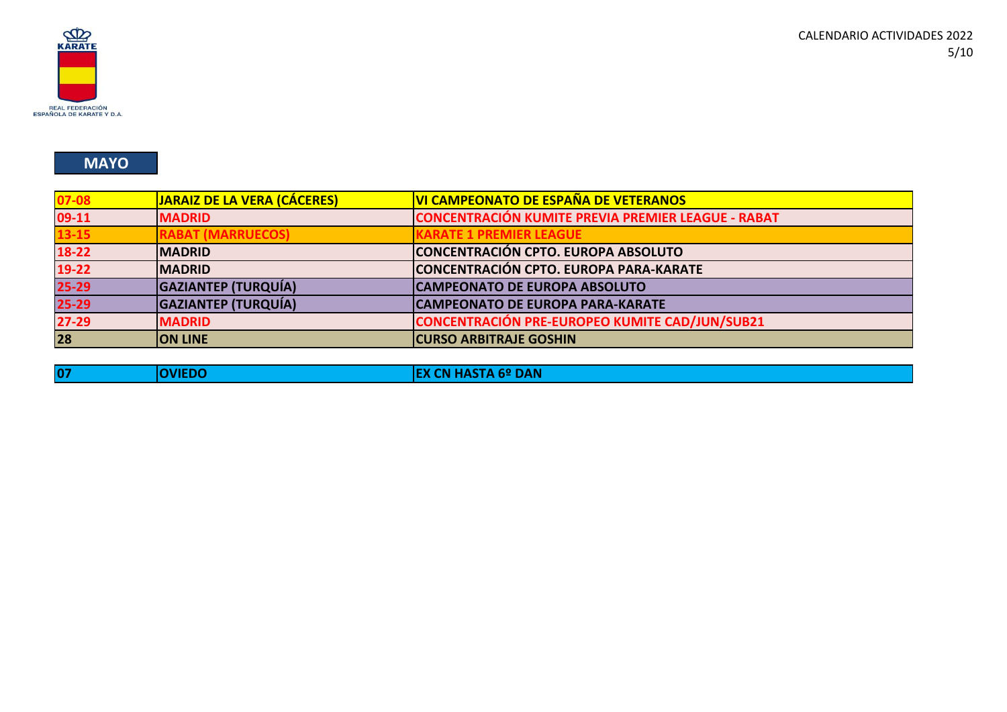

### **MAYO**

| $07 - 08$ | JARAIZ DE LA VERA (CÁCERES) | VI CAMPEONATO DE ESPAÑA DE VETERANOS                      |
|-----------|-----------------------------|-----------------------------------------------------------|
| 09-11     | <b>MADRID</b>               | <b>CONCENTRACIÓN KUMITE PREVIA PREMIER LEAGUE - RABAT</b> |
| $13 - 15$ | <b>RABAT (MARRUECOS)</b>    | <b>KARATE 1 PREMIER LEAGUE</b>                            |
| $18-22$   | <b>IMADRID</b>              | CONCENTRACIÓN CPTO. EUROPA ABSOLUTO                       |
| 19-22     | <b>IMADRID</b>              | CONCENTRACIÓN CPTO. EUROPA PARA-KARATE                    |
| $25 - 29$ | <b>GAZIANTEP (TURQUÍA)</b>  | <b>CAMPEONATO DE EUROPA ABSOLUTO</b>                      |
| $25 - 29$ | <b>GAZIANTEP (TURQUÍA)</b>  | CAMPEONATO DE EUROPA PARA-KARATE                          |
| $27 - 29$ | <b>MADRID</b>               | <b>CONCENTRACIÓN PRE-EUROPEO KUMITE CAD/JUN/SUB21</b>     |
| 28        | <b>ON LINE</b>              | <b>CURSO ARBITRAJE GOSHIN</b>                             |

|  |  | w.<br>ш | $\cdots$<br>$-$ prints |
|--|--|---------|------------------------|
|--|--|---------|------------------------|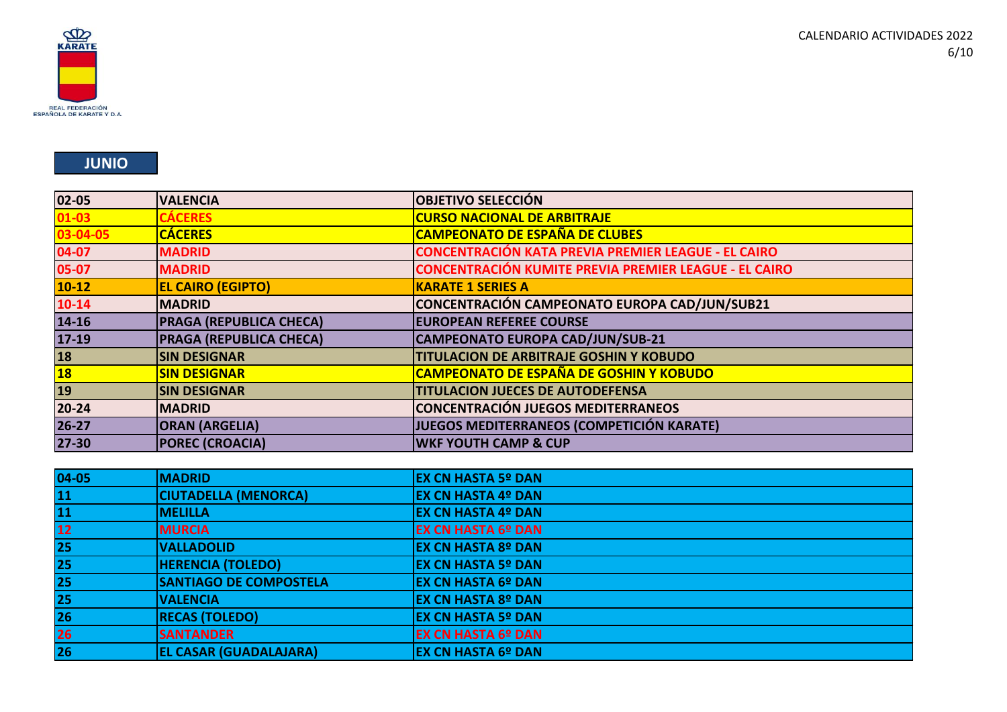

### **JUNIO**

| $04 - 05$ | <b>MADRID</b>                 | <b>EX CN HASTA 5º DAN</b> |
|-----------|-------------------------------|---------------------------|
| 11        | <b>CIUTADELLA (MENORCA)</b>   | <b>EX CN HASTA 4º DAN</b> |
| 11        | <b>MELILLA</b>                | <b>EX CN HASTA 4º DAN</b> |
| $12$      | <b>MURCIA</b>                 | <b>EX CN HASTA 6º DAN</b> |
| 25        | <b>VALLADOLID</b>             | <b>EX CN HASTA 8º DAN</b> |
| 25        | <b>HERENCIA (TOLEDO)</b>      | <b>EX CN HASTA 5º DAN</b> |
| <b>25</b> | <b>SANTIAGO DE COMPOSTELA</b> | <b>EX CN HASTA 6º DAN</b> |
| 25        | <b>VALENCIA</b>               | <b>EX CN HASTA 8º DAN</b> |
| 26        | <b>RECAS (TOLEDO)</b>         | <b>EX CN HASTA 5º DAN</b> |
| 26        | <b>SANTANDER</b>              | <b>EX CN HASTA 6º DAN</b> |
| 26        | <b>EL CASAR (GUADALAJARA)</b> | <b>EX CN HASTA 6º DAN</b> |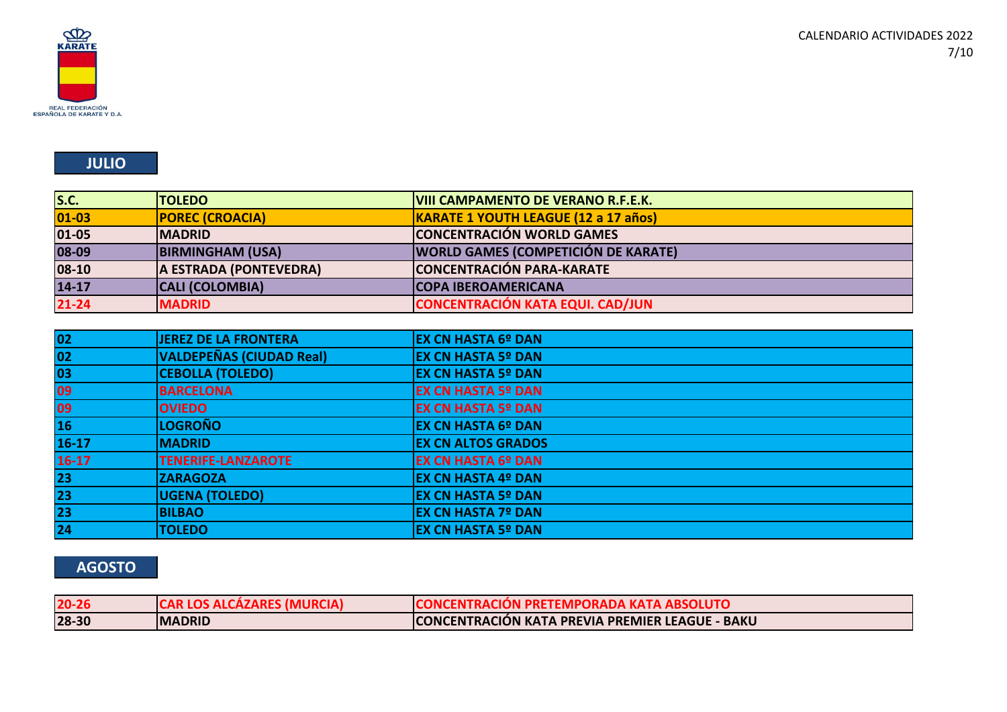

## **JULIO**

| S.C.        | <b>TOLEDO</b>           | <b>VIII CAMPAMENTO DE VERANO R.F.E.K.</b>  |
|-------------|-------------------------|--------------------------------------------|
| $ 01 - 03 $ | <b>POREC (CROACIA)</b>  | KARATE 1 YOUTH LEAGUE (12 a 17 años)       |
| 01-05       | <b>IMADRID</b>          | <b>CONCENTRACIÓN WORLD GAMES</b>           |
| 08-09       | <b>BIRMINGHAM (USA)</b> | <b>WORLD GAMES (COMPETICIÓN DE KARATE)</b> |
| 08-10       | A ESTRADA (PONTEVEDRA)  | <b>CONCENTRACIÓN PARA-KARATE</b>           |
| $14 - 17$   | <b>CALI (COLOMBIA)</b>  | <b>ICOPA IBEROAMERICANA</b>                |
| $21 - 24$   | <b>MADRID</b>           | <b>CONCENTRACIÓN KATA EQUI. CAD/JUN</b>    |

| $\begin{array}{c}\n 02 \\ \hline\n 02\n \end{array}$ | <b>JEREZ DE LA FRONTERA</b>     | <b>EX CN HASTA 6º DAN</b> |
|------------------------------------------------------|---------------------------------|---------------------------|
|                                                      | <b>VALDEPEÑAS (CIUDAD Real)</b> | <b>EX CN HASTA 5º DAN</b> |
| $\overline{03}$                                      | <b>CEBOLLA (TOLEDO)</b>         | <b>EX CN HASTA 5º DAN</b> |
|                                                      | <b>BARCELONA</b>                | <b>EX CN HASTA 5º DAN</b> |
| 09<br>09<br>16                                       | <b>OVIEDO</b>                   | <b>EX CN HASTA 5º DAN</b> |
|                                                      | <b>LOGROÑO</b>                  | <b>EX CN HASTA 6º DAN</b> |
| $16-17$                                              | <b>MADRID</b>                   | <b>EX CN ALTOS GRADOS</b> |
| $16-17$                                              | <b>TENERIFE-LANZAROTE</b>       | <b>EX CN HASTA 6º DAN</b> |
|                                                      | <b>ZARAGOZA</b>                 | <b>EX CN HASTA 4º DAN</b> |
| 23<br>23<br>23                                       | <b>UGENA (TOLEDO)</b>           | <b>EX CN HASTA 5º DAN</b> |
|                                                      | <b>BILBAO</b>                   | <b>EX CN HASTA 7º DAN</b> |
| $\overline{24}$                                      | <b>TOLEDO</b>                   | <b>EX CN HASTA 5º DAN</b> |

# **AGOSTO**

| $20 - 26$ | <b>CAR LOS ALCÁZARES (MURCIA)</b> | <b>CONCENTRACION PRETEMPORADA KATA ABSOLUTO</b> |
|-----------|-----------------------------------|-------------------------------------------------|
| 28-30     | <b>MADRID</b>                     | CONCENTRACIÓN KATA PREVIA PREMIER LEAGUE - BAKU |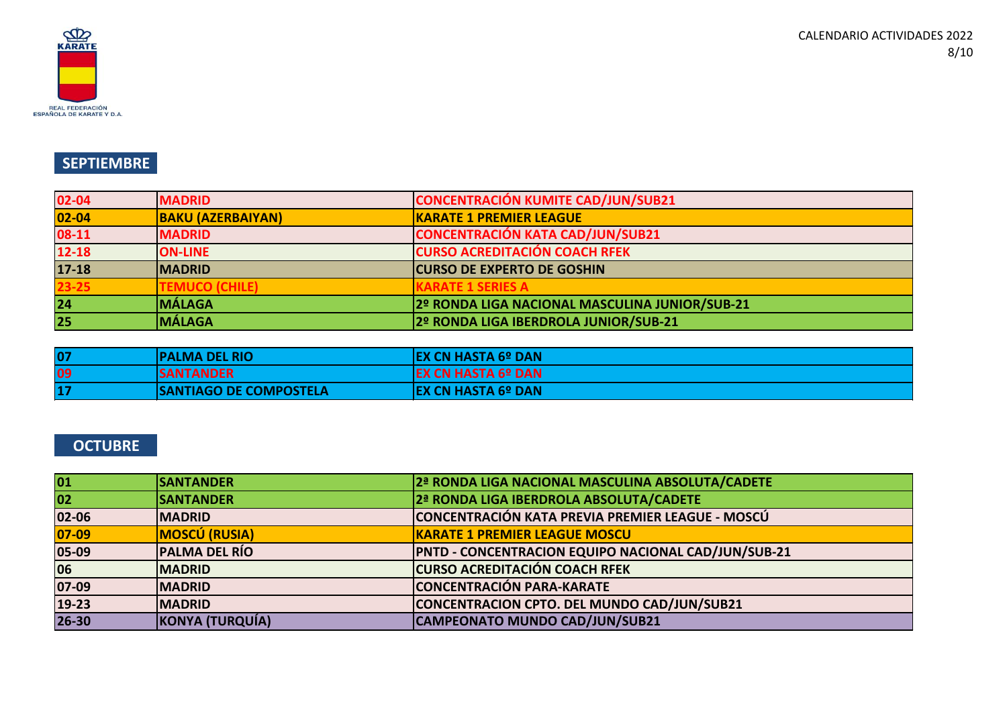

## **SEPTIEMBRE**

| 02-04           | <b>MADRID</b>            | <b>CONCENTRACIÓN KUMITE CAD/JUN/SUB21</b>      |
|-----------------|--------------------------|------------------------------------------------|
| $ 02 - 04 $     | <b>BAKU (AZERBAIYAN)</b> | <b>KARATE 1 PREMIER LEAGUE</b>                 |
| $08-11$         | <b>MADRID</b>            | <b>CONCENTRACIÓN KATA CAD/JUN/SUB21</b>        |
| $12 - 18$       | <b>ON-LINE</b>           | <b>CURSO ACREDITACIÓN COACH RFEK</b>           |
| $17 - 18$       | <b>IMADRID</b>           | <b>CURSO DE EXPERTO DE GOSHIN</b>              |
| $23 - 25$       | <b>FEMUCO (CHILE)</b>    | <b>KARATE 1 SERIES A</b>                       |
| 24              | <b>MÁLAGA</b>            | 2º RONDA LIGA NACIONAL MASCULINA JUNIOR/SUB-21 |
| $\overline{25}$ | <b>MÁLAGA</b>            | 2º RONDA LIGA IBERDROLA JUNIOR/SUB-21          |

| $ 0\rangle$ | IPALMA DEL RIO                | <b>IEX CN HASTA 6º DAN</b> |
|-------------|-------------------------------|----------------------------|
| 09          | <b>ISANTANDER</b>             | IEX CN HASTA 6º DAN        |
| $ 1\rangle$ | <b>SANTIAGO DE COMPOSTELA</b> | <b>IEX CN HASTA 6º DAN</b> |

## **OCTUBRE**

| 01      | <b>SANTANDER</b>     | 2ª RONDA LIGA NACIONAL MASCULINA ABSOLUTA/CADETE           |
|---------|----------------------|------------------------------------------------------------|
| 02      | <b>SANTANDER</b>     | 2ª RONDA LIGA IBERDROLA ABSOLUTA/CADETE                    |
| 02-06   | <b>IMADRID</b>       | CONCENTRACIÓN KATA PREVIA PREMIER LEAGUE - MOSCÚ           |
| $07-09$ | <b>MOSCÚ (RUSIA)</b> | <b>KARATE 1 PREMIER LEAGUE MOSCU</b>                       |
| 05-09   | <b>PALMA DEL RÍO</b> | <b>PNTD - CONCENTRACION EQUIPO NACIONAL CAD/JUN/SUB-21</b> |
| 06      | <b>MADRID</b>        | <b>CURSO ACREDITACIÓN COACH RFEK</b>                       |
| 07-09   | <b>MADRID</b>        | <b>CONCENTRACIÓN PARA-KARATE</b>                           |
| 19-23   | <b>MADRID</b>        | CONCENTRACION CPTO. DEL MUNDO CAD/JUN/SUB21                |
| 26-30   | KONYA (TURQUÍA)      | CAMPEONATO MUNDO CAD/JUN/SUB21                             |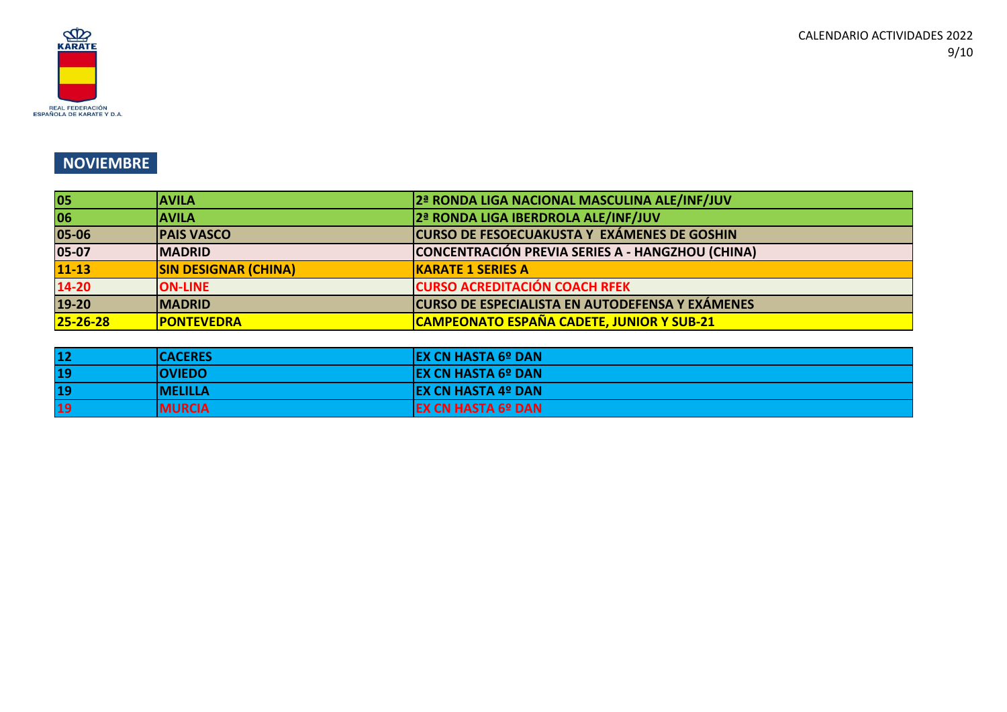

## **NOVIEMBRE**

| 05             | <b>AVILA</b>                | 2ª RONDA LIGA NACIONAL MASCULINA ALE/INF/JUV           |
|----------------|-----------------------------|--------------------------------------------------------|
| 06             | <b>IAVILA</b>               | 2ª RONDA LIGA IBERDROLA ALE/INF/JUV                    |
| 05-06          | <b>PAIS VASCO</b>           | <b>CURSO DE FESOECUAKUSTA Y EXÁMENES DE GOSHIN</b>     |
| $05-07$        | <b>IMADRID</b>              | CONCENTRACIÓN PREVIA SERIES A - HANGZHOU (CHINA)       |
| $11 - 13$      | <b>SIN DESIGNAR (CHINA)</b> | <b>KARATE 1 SERIES A</b>                               |
| $14 - 20$      | <b>ON-LINE</b>              | <b>CURSO ACREDITACIÓN COACH RFEK</b>                   |
| $19-20$        | <b>MADRID</b>               | <b>CURSO DE ESPECIALISTA EN AUTODEFENSA Y EXÁMENES</b> |
| $25 - 26 - 28$ | <b>PONTEVEDRA</b>           | <b>CAMPEONATO ESPAÑA CADETE, JUNIOR Y SUB-21</b>       |

| 12        | <b>ICACERES</b> | <b>IEX CN HASTA 6º DAN</b>  |
|-----------|-----------------|-----------------------------|
| <b>19</b> | <b>OVIEDO</b>   | <b>IEX CN HASTA 6º DAN</b>  |
| <b>19</b> | <b>IMELILLA</b> | <b>IEX CN HASTA 4º DANI</b> |
| <b>19</b> | <b>MURCIA</b>   | <b>EX CN HASTA 6º DAN</b>   |